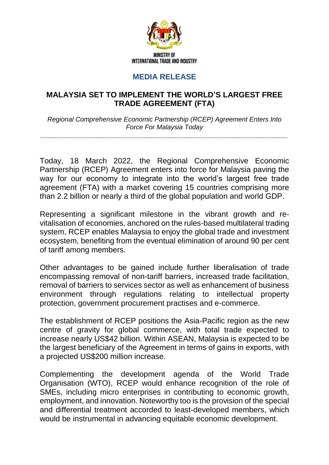

## **MEDIA RELEASE**

## **MALAYSIA SET TO IMPLEMENT THE WORLD'S LARGEST FREE TRADE AGREEMENT (FTA)**

*Regional Comprehensive Economic Partnership (RCEP) Agreement Enters Into Force For Malaysia Today*

*\_\_\_\_\_\_\_\_\_\_\_\_\_\_\_\_\_\_\_\_\_\_\_\_\_\_\_\_\_\_\_\_\_\_\_\_\_\_\_\_\_\_\_\_\_\_\_\_\_\_\_\_\_\_\_\_\_\_\_\_\_\_\_\_\_\_\_*

Today, 18 March 2022, the Regional Comprehensive Economic Partnership (RCEP) Agreement enters into force for Malaysia paving the way for our economy to integrate into the world's largest free trade agreement (FTA) with a market covering 15 countries comprising more than 2.2 billion or nearly a third of the global population and world GDP.

Representing a significant milestone in the vibrant growth and revitalisation of economies, anchored on the rules-based multilateral trading system, RCEP enables Malaysia to enjoy the global trade and investment ecosystem, benefiting from the eventual elimination of around 90 per cent of tariff among members.

Other advantages to be gained include further liberalisation of trade encompassing removal of non-tariff barriers, increased trade facilitation, removal of barriers to services sector as well as enhancement of business environment through regulations relating to intellectual property protection, government procurement practises and e-commerce.

The establishment of RCEP positions the Asia-Pacific region as the new centre of gravity for global commerce, with total trade expected to increase nearly US\$42 billion. Within ASEAN, Malaysia is expected to be the largest beneficiary of the Agreement in terms of gains in exports, with a projected US\$200 million increase.

Complementing the development agenda of the World Trade Organisation (WTO), RCEP would enhance recognition of the role of SMEs, including micro enterprises in contributing to economic growth, employment, and innovation. Noteworthy too is the provision of the special and differential treatment accorded to least-developed members, which would be instrumental in advancing equitable economic development.